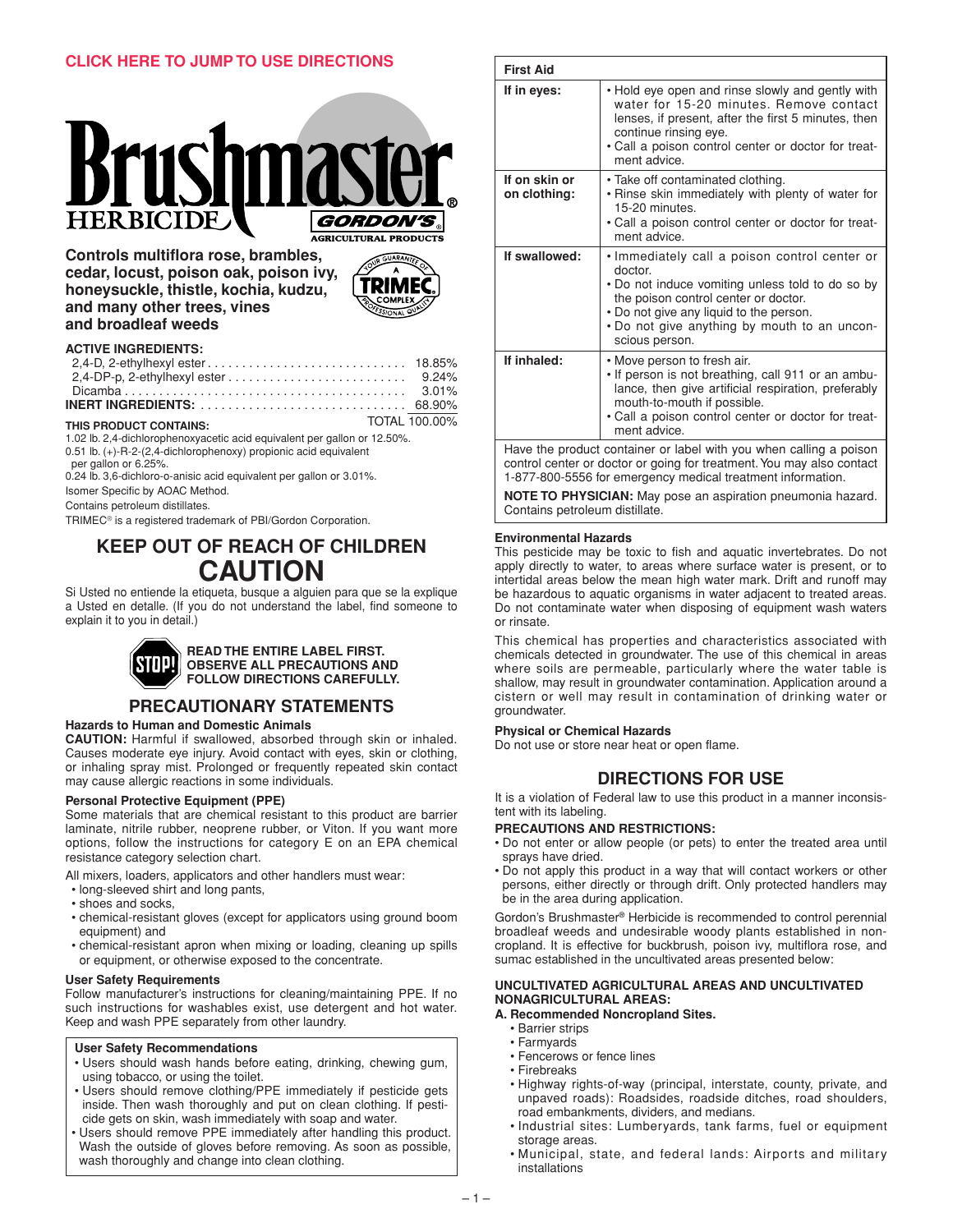

**Controls multiflora rose, brambles, cedar, locust, poison oak, poison ivy, honeysuckle, thistle, kochia, kudzu, and many other trees, vines and broadleaf weeds**



# **ACTIVE INGREDIENTS:**

|                                                            | 2,4-DP-p, 2-ethylhexyl ester $\ldots \ldots \ldots \ldots \ldots \ldots \ldots$ 9.24% |
|------------------------------------------------------------|---------------------------------------------------------------------------------------|
|                                                            |                                                                                       |
|                                                            |                                                                                       |
| THIS PRODUCT CONTAINS:                                     | TOTAL 100.00%                                                                         |
| <b>JOOK OF BUILDING COMPANY AND INTERNATIONAL PROPERTY</b> |                                                                                       |

1.02 lb. 2,4-dichlorophenoxyacetic acid equivalent per gallon or 12.50%. 0.51 lb. (+)-R-2-(2,4-dichlorophenoxy) propionic acid equivalent per gallon or 6.25%.

0.24 lb. 3,6-dichloro-o-anisic acid equivalent per gallon or 3.01%.

Isomer Specific by AOAC Method.

Contains petroleum distillates.

TRIMEC® is a registered trademark of PBI/Gordon Corporation.

# **KEEP OUT OF REACH OF CHILDREN CAUTION**

Si Usted no entiende la etiqueta, busque a alguien para que se la explique a Usted en detalle. (If you do not understand the label, find someone to explain it to you in detail.)



# **PRECAUTIONARY STATEMENTS Hazards to Human and Domestic Animals**

**CAUTION:** Harmful if swallowed, absorbed through skin or inhaled. Causes moderate eye injury. Avoid contact with eyes, skin or clothing, or inhaling spray mist. Prolonged or frequently repeated skin contact may cause allergic reactions in some individuals.

### **Personal Protective Equipment (PPE)**

Some materials that are chemical resistant to this product are barrier laminate, nitrile rubber, neoprene rubber, or Viton. If you want more options, follow the instructions for category E on an EPA chemical resistance category selection chart.

All mixers, loaders, applicators and other handlers must wear:

- long-sleeved shirt and long pants,
- shoes and socks,
- chemical-resistant gloves (except for applicators using ground boom equipment) and
- chemical-resistant apron when mixing or loading, cleaning up spills or equipment, or otherwise exposed to the concentrate.

# **User Safety Requirements**

Follow manufacturer's instructions for cleaning/maintaining PPE. If no such instructions for washables exist, use detergent and hot water. Keep and wash PPE separately from other laundry.

# **User Safety Recommendations**

- Users should wash hands before eating, drinking, chewing gum, using tobacco, or using the toilet.
- Users should remove clothing/PPE immediately if pesticide gets inside. Then wash thoroughly and put on clean clothing. If pesticide gets on skin, wash immediately with soap and water.
- Users should remove PPE immediately after handling this product. Wash the outside of gloves before removing. As soon as possible, wash thoroughly and change into clean clothing.

| <b>First Aid</b>                                                                                                                                            |                                                                                                                                                                                                                                                                   |  |
|-------------------------------------------------------------------------------------------------------------------------------------------------------------|-------------------------------------------------------------------------------------------------------------------------------------------------------------------------------------------------------------------------------------------------------------------|--|
| If in eyes:                                                                                                                                                 | • Hold eye open and rinse slowly and gently with<br>water for 15-20 minutes. Remove contact<br>lenses, if present, after the first 5 minutes, then<br>continue rinsing eye.<br>• Call a poison control center or doctor for treat-<br>ment advice.                |  |
| If on skin or<br>on clothing:                                                                                                                               | • Take off contaminated clothing.<br>• Rinse skin immediately with plenty of water for<br>15-20 minutes.<br>. Call a poison control center or doctor for treat-<br>ment advice.                                                                                   |  |
| If swallowed:                                                                                                                                               | • Immediately call a poison control center or<br>doctor.<br>• Do not induce vomiting unless told to do so by<br>the poison control center or doctor.<br>• Do not give any liquid to the person.<br>. Do not give anything by mouth to an uncon-<br>scious person. |  |
| If inhaled:                                                                                                                                                 | • Move person to fresh air.<br>. If person is not breathing, call 911 or an ambu-<br>lance, then give artificial respiration, preferably<br>mouth-to-mouth if possible.<br>• Call a poison control center or doctor for treat-<br>ment advice.                    |  |
| Have the product container or label with you when calling a poison<br>فتعفونه وعاوريتهما الكلا فستحصص والمتعاطية ومائية والمتحام والمتحارب والمتعارض المسفو |                                                                                                                                                                                                                                                                   |  |

control center or doctor or going for treatment. You may also contact 1-877-800-5556 for emergency medical treatment information.

**NOTE TO PHYSICIAN:** May pose an aspiration pneumonia hazard. Contains petroleum distillate.

## **Environmental Hazards**

This pesticide may be toxic to fish and aquatic invertebrates. Do not apply directly to water, to areas where surface water is present, or to intertidal areas below the mean high water mark. Drift and runoff may be hazardous to aquatic organisms in water adjacent to treated areas. Do not contaminate water when disposing of equipment wash waters or rinsate.

This chemical has properties and characteristics associated with chemicals detected in groundwater. The use of this chemical in areas where soils are permeable, particularly where the water table is shallow, may result in groundwater contamination. Application around a cistern or well may result in contamination of drinking water or groundwater.

# **Physical or Chemical Hazards**

Do not use or store near heat or open flame.

# **DIRECTIONS FOR USE**

It is a violation of Federal law to use this product in a manner inconsistent with its labeling.

# **PRECAUTIONS AND RESTRICTIONS:**

- Do not enter or allow people (or pets) to enter the treated area until sprays have dried.
- Do not apply this product in a way that will contact workers or other persons, either directly or through drift. Only protected handlers may be in the area during application.

Gordon's Brushmaster**®** Herbicide is recommended to control perennial broadleaf weeds and undesirable woody plants established in noncropland. It is effective for buckbrush, poison ivy, multiflora rose, and sumac established in the uncultivated areas presented below:

## **UNCULTIVATED AGRICULTURAL AREAS AND UNCULTIVATED NONAGRICULTURAL AREAS:**

# **A. Recommended Noncropland Sites.**

- Barrier strips
- Farmyards
- Fencerows or fence lines
- Firebreaks
- Highway rights-of-way (principal, interstate, county, private, and unpaved roads): Roadsides, roadside ditches, road shoulders, road embankments, dividers, and medians.
- Industrial sites: Lumberyards, tank farms, fuel or equipment storage areas.
- Municipal, state, and federal lands: Airports and military installations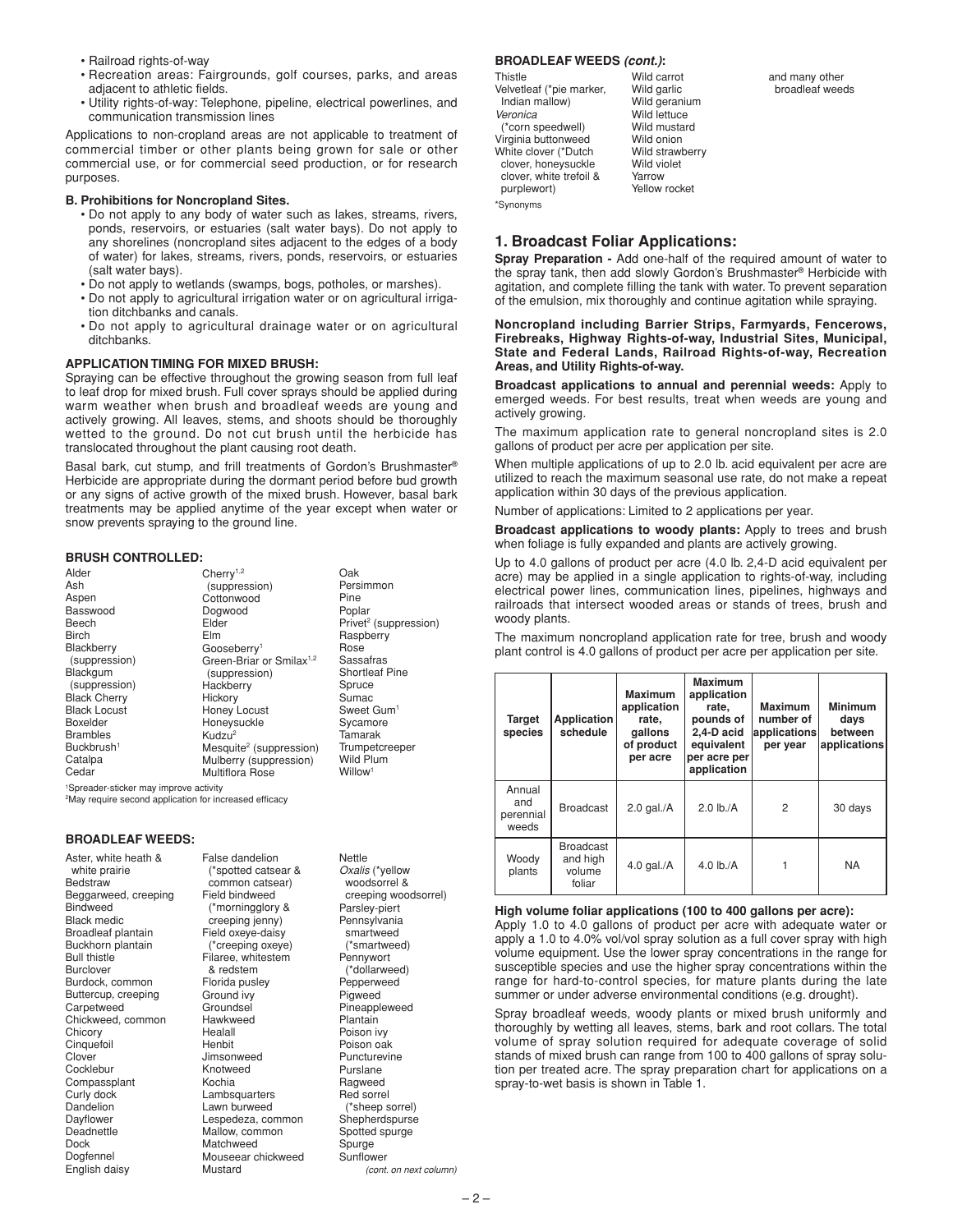- Railroad rights-of-way
- Recreation areas: Fairgrounds, golf courses, parks, and areas adjacent to athletic fields.
- Utility rights-of-way: Telephone, pipeline, electrical powerlines, and communication transmission lines

Applications to non-cropland areas are not applicable to treatment of commercial timber or other plants being grown for sale or other commercial use, or for commercial seed production, or for research purposes.

## **B. Prohibitions for Noncropland Sites.**

- Do not apply to any body of water such as lakes, streams, rivers, ponds, reservoirs, or estuaries (salt water bays). Do not apply to any shorelines (noncropland sites adjacent to the edges of a body of water) for lakes, streams, rivers, ponds, reservoirs, or estuaries (salt water bays).
- Do not apply to wetlands (swamps, bogs, potholes, or marshes).
- Do not apply to agricultural irrigation water or on agricultural irrigation ditchbanks and canals.
- Do not apply to agricultural drainage water or on agricultural ditchbanks.

# **APPLICATION TIMING FOR MIXED BRUSH:**

Spraying can be effective throughout the growing season from full leaf to leaf drop for mixed brush. Full cover sprays should be applied during warm weather when brush and broadleaf weeds are young and actively growing. All leaves, stems, and shoots should be thoroughly wetted to the ground. Do not cut brush until the herbicide has translocated throughout the plant causing root death.

Basal bark, cut stump, and frill treatments of Gordon's Brushmaster**®** Herbicide are appropriate during the dormant period before bud growth or any signs of active growth of the mixed brush. However, basal bark treatments may be applied anytime of the year except when water or snow prevents spraying to the ground line.

# **BRUSH CONTROLLED:**

| Alder                                              | Cherry <sup>1,2</sup>                | Oak                               |  |
|----------------------------------------------------|--------------------------------------|-----------------------------------|--|
| Ash                                                | (suppression)                        | Persimmon                         |  |
| Aspen                                              | Cottonwood                           | Pine                              |  |
| Basswood                                           | Dogwood                              | Poplar                            |  |
| Beech                                              | Elder                                | Privet <sup>2</sup> (suppression) |  |
| <b>Birch</b>                                       | <b>Elm</b>                           | Raspberry                         |  |
| Blackberry                                         | Gooseberry <sup>1</sup>              | Rose                              |  |
| (suppression)                                      | Green-Briar or Smilax <sup>1,2</sup> | Sassafras                         |  |
| Blackgum                                           | (suppression)                        | <b>Shortleaf Pine</b>             |  |
| (suppression)                                      | Hackberry                            | Spruce                            |  |
| <b>Black Cherry</b>                                | Hickory                              | Sumac                             |  |
| <b>Black Locust</b>                                | Honey Locust                         | Sweet Gum <sup>1</sup>            |  |
| <b>Boxelder</b>                                    | Honeysuckle                          | Sycamore                          |  |
| <b>Brambles</b>                                    | Kudzu <sup>2</sup>                   | Tamarak                           |  |
| Buckbrush <sup>1</sup>                             | Mesquite <sup>2</sup> (suppression)  | Trumpetcreeper                    |  |
| Catalpa                                            | Mulberry (suppression)               | <b>Wild Plum</b>                  |  |
| Cedar                                              | <b>Multiflora Rose</b>               | Willow <sup>1</sup>               |  |
| <sup>1</sup> Spreader-sticker may improve activity |                                      |                                   |  |

2May require second application for increased efficacy

## **BROADLEAF WEEDS:**

Aster, white heath & white prairie **Bedstraw** Beggarweed, creeping Bindweed Black medic Broadleaf plantain Buckhorn plantain Bull thistle **Burclover** Burdock, common Buttercup, creeping **Carpetweed** Chickweed, common **Chicory Cinquefoil** Clover Cocklebur Compassplant Curly dock Dandelion Dayflower Deadnettle Dock Dogfennel English daisy

common catsear) Field bindweed (\*morningglory & creeping jenny) Field oxeye-daisy (\*creeping oxeye) Filaree, whitestem & redstem Florida pusley Ground ivy **Groundsel** Hawkweed Healall Henbit Jimsonweed Knotweed Kochia Lambsquarters Lawn burweed Lespedeza, common Mallow, common **Matchweed** Mouseear chickweed Mustard

False dandelion (\*spotted catsear &

#### **Nettle** *Oxalis* (\*yellow woodsorrel & creeping woodsorrel) Parsley-piert **Pennsylvania** smartweed (\*smartweed) **Pennywort** (\*dollarweed) **Pepperweed Pigweed** Pineappleweed **Plantain** Poison ivy Poison oak Puncturevine Purslane Ragweed Red sorrel (\*sheep sorrel) **Shepherdspurse** Spotted spurge Spurge **Sunflower**

## **BROADLEAF WEEDS** *(cont.)***:**

\*Synonyms Thistle Velvetleaf (\*pie marker, Indian mallow) *Veronica*  (\*corn speedwell) Virginia buttonweed White clover (\*Dutch clover, honeysuckle clover, white trefoil & purplewort) Yellow rocket

Wild carrot Wild garlic Wild geranium Wild lettuce Wild mustard Wild onion Wild strawberry Wild violet Yarrow

# **1. Broadcast Foliar Applications:**

**Spray Preparation -** Add one-half of the required amount of water to the spray tank, then add slowly Gordon's Brushmaster**®** Herbicide with agitation, and complete filling the tank with water. To prevent separation of the emulsion, mix thoroughly and continue agitation while spraying.

#### **Noncropland including Barrier Strips, Farmyards, Fencerows, Firebreaks, Highway Rights-of-way, Industrial Sites, Municipal, State and Federal Lands, Railroad Rights-of-way, Recreation Areas, and Utility Rights-of-way.**

**Broadcast applications to annual and perennial weeds:** Apply to emerged weeds. For best results, treat when weeds are young and actively growing.

The maximum application rate to general noncropland sites is 2.0 gallons of product per acre per application per site.

When multiple applications of up to 2.0 lb. acid equivalent per acre are utilized to reach the maximum seasonal use rate, do not make a repeat application within 30 days of the previous application.

Number of applications: Limited to 2 applications per year.

**Broadcast applications to woody plants:** Apply to trees and brush when foliage is fully expanded and plants are actively growing.

Up to 4.0 gallons of product per acre (4.0 lb. 2,4-D acid equivalent per acre) may be applied in a single application to rights-of-way, including electrical power lines, communication lines, pipelines, highways and railroads that intersect wooded areas or stands of trees, brush and woody plants.

The maximum noncropland application rate for tree, brush and woody plant control is 4.0 gallons of product per acre per application per site.

| Target<br>species                   | <b>Application</b><br>schedule                   | <b>Maximum</b><br>application<br>rate,<br>qallons<br>of product<br>per acre | <b>Maximum</b><br>application<br>rate,<br>pounds of<br>2,4-D acid<br>equivalent<br>per acre per<br>application | <b>Maximum</b><br>number of<br>applications<br>per year | <b>Minimum</b><br>days<br>between<br>applications |
|-------------------------------------|--------------------------------------------------|-----------------------------------------------------------------------------|----------------------------------------------------------------------------------------------------------------|---------------------------------------------------------|---------------------------------------------------|
| Annual<br>and<br>perennial<br>weeds | <b>Broadcast</b>                                 | $2.0$ gal./ $A$                                                             | $2.0$ lb./A                                                                                                    | $\overline{2}$                                          | 30 days                                           |
| Woody<br>plants                     | <b>Broadcast</b><br>and high<br>volume<br>foliar | $4.0$ gal./A                                                                | 4.0 $\mathsf{lb}$ ./A                                                                                          |                                                         | <b>NA</b>                                         |

#### **High volume foliar applications (100 to 400 gallons per acre):**

Apply 1.0 to 4.0 gallons of product per acre with adequate water or apply a 1.0 to 4.0% vol/vol spray solution as a full cover spray with high volume equipment. Use the lower spray concentrations in the range for susceptible species and use the higher spray concentrations within the range for hard-to-control species, for mature plants during the late summer or under adverse environmental conditions (e.g. drought).

Spray broadleaf weeds, woody plants or mixed brush uniformly and thoroughly by wetting all leaves, stems, bark and root collars. The total volume of spray solution required for adequate coverage of solid stands of mixed brush can range from 100 to 400 gallons of spray solution per treated acre. The spray preparation chart for applications on a spray-to-wet basis is shown in Table 1.

*(cont. on next column)*

and many other broadleaf weeds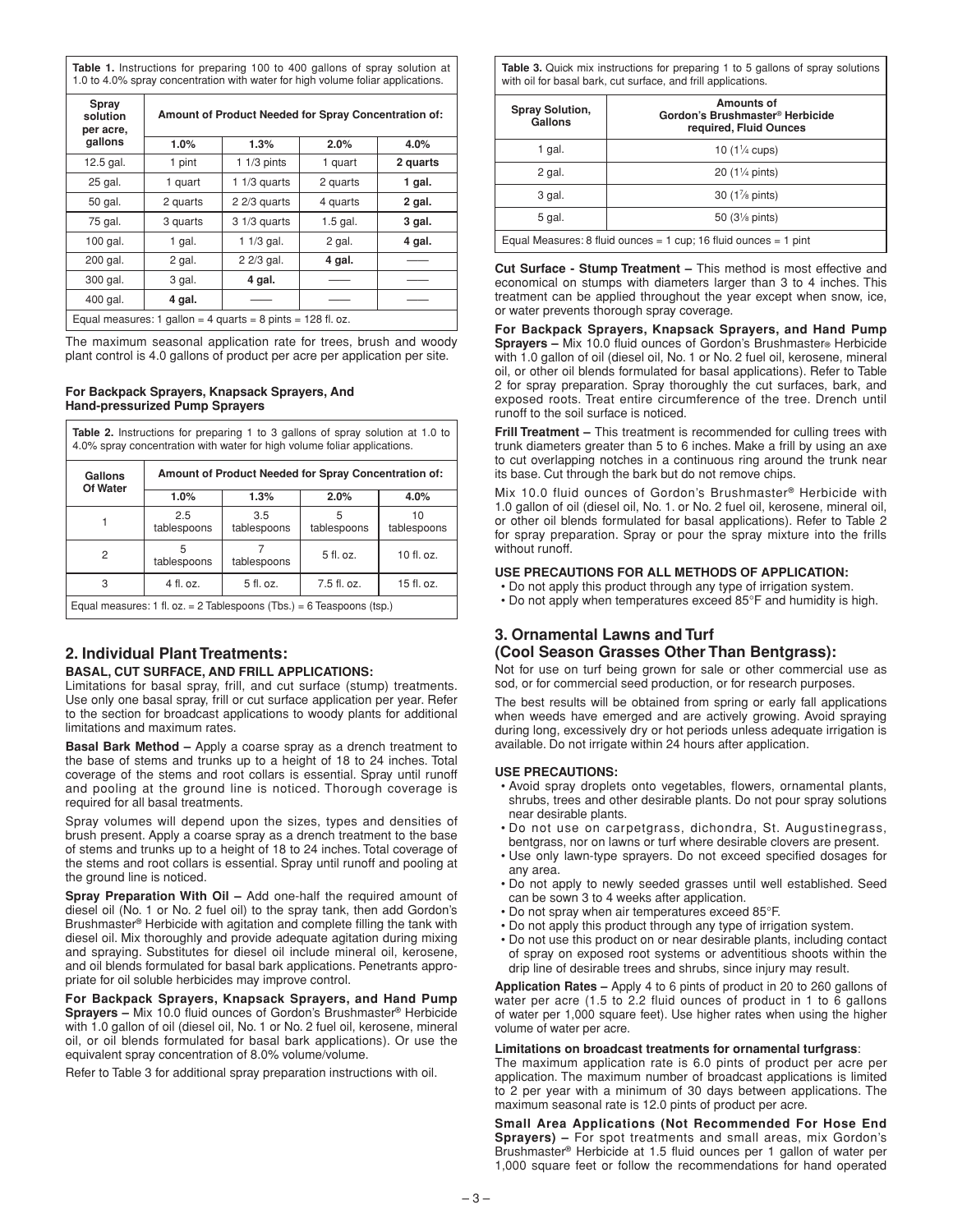**Table 1.** Instructions for preparing 100 to 400 gallons of spray solution at 1.0 to 4.0% spray concentration with water for high volume foliar applications.

| Spray<br>solution<br>per acre,                                | Amount of Product Needed for Spray Concentration of: |                |            |          |
|---------------------------------------------------------------|------------------------------------------------------|----------------|------------|----------|
| gallons                                                       | 1.0%                                                 | 1.3%           | 2.0%       | 4.0%     |
| 12.5 gal.                                                     | 1 pint                                               | $11/3$ pints   | 1 quart    | 2 quarts |
| 25 gal.                                                       | 1 quart                                              | 1 $1/3$ quarts | 2 quarts   | 1 gal.   |
| 50 gal.                                                       | 2 quarts                                             | $22/3$ quarts  | 4 quarts   | 2 gal.   |
| 75 gal.                                                       | 3 quarts                                             | $31/3$ quarts  | $1.5$ gal. | 3 gal.   |
| 100 gal.                                                      | 1 gal.                                               | $11/3$ gal.    | 2 gal.     | 4 gal.   |
| 200 gal.                                                      | 2 gal.                                               | 2 2/3 gal.     | 4 gal.     |          |
| 300 gal.                                                      | 3 gal.                                               | 4 gal.         |            |          |
| 400 gal.                                                      | 4 gal.                                               |                |            |          |
| Equal measures: 1 gallon = 4 guarts = 8 pints = $128$ fl. oz. |                                                      |                |            |          |

The maximum seasonal application rate for trees, brush and woody plant control is 4.0 gallons of product per acre per application per site.

### **For Backpack Sprayers, Knapsack Sprayers, And Hand-pressurized Pump Sprayers**

| <b>Table 2.</b> Instructions for preparing 1 to 3 gallons of spray solution at 1.0 to<br>4.0% spray concentration with water for high volume foliar applications. |                    |                    |                  |                   |
|-------------------------------------------------------------------------------------------------------------------------------------------------------------------|--------------------|--------------------|------------------|-------------------|
| Amount of Product Needed for Spray Concentration of:<br>Gallons<br>Of Water                                                                                       |                    |                    |                  |                   |
|                                                                                                                                                                   | 1.0%               | 1.3%               | 2.0%             | 4.0%              |
|                                                                                                                                                                   | 2.5<br>tablespoons | 3.5<br>tablespoons | 5<br>tablespoons | 10<br>tablespoons |
| 2                                                                                                                                                                 | 5<br>tablespoons   | tablespoons        | $5$ fl. oz.      | $10$ fl. oz.      |
| 3                                                                                                                                                                 | $4$ fl. oz.        | $5$ fl. oz.        | $7.5$ fl. oz.    | 15 fl. oz.        |
| Equal measures: 1 fl. oz. = 2 Tablespoons (Tbs.) = 6 Teaspoons (tsp.)                                                                                             |                    |                    |                  |                   |

# **2. Individual Plant Treatments:**

# **BASAL, CUT SURFACE, AND FRILL APPLICATIONS:**

Limitations for basal spray, frill, and cut surface (stump) treatments. Use only one basal spray, frill or cut surface application per year. Refer to the section for broadcast applications to woody plants for additional limitations and maximum rates.

**Basal Bark Method –** Apply a coarse spray as a drench treatment to the base of stems and trunks up to a height of 18 to 24 inches. Total coverage of the stems and root collars is essential. Spray until runoff and pooling at the ground line is noticed. Thorough coverage is required for all basal treatments.

Spray volumes will depend upon the sizes, types and densities of brush present. Apply a coarse spray as a drench treatment to the base of stems and trunks up to a height of 18 to 24 inches. Total coverage of the stems and root collars is essential. Spray until runoff and pooling at the ground line is noticed.

**Spray Preparation With Oil –** Add one-half the required amount of diesel oil (No. 1 or No. 2 fuel oil) to the spray tank, then add Gordon's Brushmaster**®** Herbicide with agitation and complete filling the tank with diesel oil. Mix thoroughly and provide adequate agitation during mixing and spraying. Substitutes for diesel oil include mineral oil, kerosene, and oil blends formulated for basal bark applications. Penetrants appropriate for oil soluble herbicides may improve control.

**For Backpack Sprayers, Knapsack Sprayers, and Hand Pump Sprayers –** Mix 10.0 fluid ounces of Gordon's Brushmaster**®** Herbicide with 1.0 gallon of oil (diesel oil, No. 1 or No. 2 fuel oil, kerosene, mineral oil, or oil blends formulated for basal bark applications). Or use the equivalent spray concentration of 8.0% volume/volume.

Refer to Table 3 for additional spray preparation instructions with oil.

**Table 3.** Quick mix instructions for preparing 1 to 5 gallons of spray solutions with oil for basal bark, cut surface, and frill applications.

| <b>Spray Solution,</b><br>Gallons                                | Amounts of<br>Gordon's Brushmaster <sup>®</sup> Herbicide<br>required, Fluid Ounces |  |  |
|------------------------------------------------------------------|-------------------------------------------------------------------------------------|--|--|
| 1 gal.                                                           | 10 $(1\% \text{ cups})$                                                             |  |  |
| 2 gal.                                                           | $20(1\% \text{ pints})$                                                             |  |  |
| 3 gal.                                                           | 30 (1% pints)                                                                       |  |  |
| 5 gal.                                                           | 50 $(3\% \text{ pints})$                                                            |  |  |
| Equal Measures: 8 fluid ounces = 1 cup; 16 fluid ounces = 1 pint |                                                                                     |  |  |

**Cut Surface - Stump Treatment –** This method is most effective and economical on stumps with diameters larger than 3 to 4 inches. This treatment can be applied throughout the year except when snow, ice, or water prevents thorough spray coverage.

**For Backpack Sprayers, Knapsack Sprayers, and Hand Pump Sprayers –** Mix 10.0 fluid ounces of Gordon's Brushmaster**®** Herbicide with 1.0 gallon of oil (diesel oil, No. 1 or No. 2 fuel oil, kerosene, mineral oil, or other oil blends formulated for basal applications). Refer to Table 2 for spray preparation. Spray thoroughly the cut surfaces, bark, and exposed roots. Treat entire circumference of the tree. Drench until runoff to the soil surface is noticed.

**Frill Treatment –** This treatment is recommended for culling trees with trunk diameters greater than 5 to 6 inches. Make a frill by using an axe to cut overlapping notches in a continuous ring around the trunk near its base. Cut through the bark but do not remove chips.

Mix 10.0 fluid ounces of Gordon's Brushmaster**®** Herbicide with 1.0 gallon of oil (diesel oil, No. 1. or No. 2 fuel oil, kerosene, mineral oil, or other oil blends formulated for basal applications). Refer to Table 2 for spray preparation. Spray or pour the spray mixture into the frills without runoff.

# **USE PRECAUTIONS FOR ALL METHODS OF APPLICATION:**

- Do not apply this product through any type of irrigation system.
- Do not apply when temperatures exceed 85°F and humidity is high.

# **3. Ornamental Lawns and Turf**

# **(Cool Season Grasses Other Than Bentgrass):**

Not for use on turf being grown for sale or other commercial use as sod, or for commercial seed production, or for research purposes.

The best results will be obtained from spring or early fall applications when weeds have emerged and are actively growing. Avoid spraying during long, excessively dry or hot periods unless adequate irrigation is available. Do not irrigate within 24 hours after application.

# **USE PRECAUTIONS:**

- Avoid spray droplets onto vegetables, flowers, ornamental plants, shrubs, trees and other desirable plants. Do not pour spray solutions near desirable plants.
- Do not use on carpetgrass, dichondra, St. Augustinegrass, bentgrass, nor on lawns or turf where desirable clovers are present.
- Use only lawn-type sprayers. Do not exceed specified dosages for any area.
- Do not apply to newly seeded grasses until well established. Seed can be sown 3 to 4 weeks after application.
- Do not spray when air temperatures exceed 85°F.
- Do not apply this product through any type of irrigation system.
- Do not use this product on or near desirable plants, including contact of spray on exposed root systems or adventitious shoots within the drip line of desirable trees and shrubs, since injury may result.

**Application Rates –** Apply 4 to 6 pints of product in 20 to 260 gallons of water per acre (1.5 to 2.2 fluid ounces of product in 1 to 6 gallons of water per 1,000 square feet). Use higher rates when using the higher volume of water per acre.

# **Limitations on broadcast treatments for ornamental turfgrass**:

The maximum application rate is 6.0 pints of product per acre per application. The maximum number of broadcast applications is limited to 2 per year with a minimum of 30 days between applications. The maximum seasonal rate is 12.0 pints of product per acre.

**Small Area Applications (Not Recommended For Hose End Sprayers) –** For spot treatments and small areas, mix Gordon's Brushmaster**®** Herbicide at 1.5 fluid ounces per 1 gallon of water per 1,000 square feet or follow the recommendations for hand operated